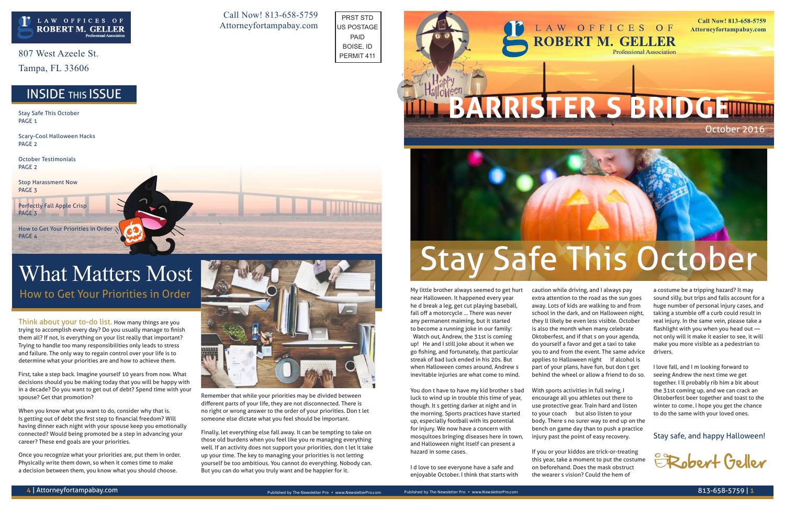Think about your to-do list. How many things are you trying to accomplish every day? Do you usually manage to finish them all? If not, is everything on your list really that important? Trying to handle too many responsibilities only leads to stress and failure. The only way to regain control over your life is to determine what your priorities are and how to achieve them.

First, take a step back. Imagine yourself 10 years from now. What decisions should you be making today that you will be happy with in a decade? Do you want to get out of debt? Spend time with your spouse? Get that promotion?

When you know what you want to do, consider why that is. Is getting out of debt the first step to financial freedom? Will having dinner each night with your spouse keep you emotionally connected? Would being promoted be a step in advancing your career? These end goals are your priorities.

### What Matters Most How to Get Your Priorities in Order My little brother always seemed to get hurt

Once you recognize what your priorities are, put them in order. Physically write them down, so when it comes time to make a decision between them, you know what you should choose.

Remember that while your priorities may be divided between different parts of your life, they are not disconnected. There is no right or wrong answer to the order of your priorities. Don't let

someone else dictate what you feel should be important.

Finally, let everything else fall away. It can be tempting to take on those old burdens when you feel like you're managing everything well. If an activity does not support your priorities, don't let it take up your time. The key to managing your priorities is not letting yourself be too ambitious. You cannot do everything. Nobody can.

But you can do what you truly want and be happier for it.

807 West Azeele St.

Tampa, FL 33606

near Halloween. It happened every year he'd break a leg, get cut playing baseball, fall off a motorcycle ... There was never any permanent maiming, but it started to become a running joke in our family: "Watch out, Andrew, the 31st is coming up!" He and I still joke about it when we go fishing, and fortunately, that particular streak of bad luck ended in his 20s. But

Stay Safe This October PAGE<sub>1</sub>

> when Halloween comes around, Andrew's inevitable injuries are what come to mind.

You don't have to have my kid brother's bad luck to wind up in trouble this time of year, though. It's getting darker at night and in the morning. Sports practices have started up, especially football with its potential for injury. We now have a concern with mosquitoes bringing diseases here in town, and Halloween night itself can present a hazard in some cases.

I'd love to see everyone have a safe and enjoyable October. I think that starts with caution while driving, and I always pay extra attention to the road as the sun goes away. Lots of kids are walking to and from school in the dark, and on Halloween night, they'll likely be even less visible. October is also the month when many celebrate Oktoberfest, and if that's on your agenda, do yourself a favor and get a taxi to take you to and from the event. The same advice applies to Halloween night — if alcohol is part of your plans, have fun, but don't get behind the wheel or allow a friend to do so.

With sports activities in full swing, I encourage all you athletes out there to use protective gear. Train hard and listen to your coach — but also listen to your body. There's no surer way to end up on the bench on game day than to push a practice injury past the point of easy recovery.

If you or your kiddos are trick-or-treating this year, take a moment to put the costume on beforehand. Does the mask obstruct the wearer's vision? Could the hem of

a costume be a tripping hazard? It may sound silly, but trips and falls account for a huge number of personal injury cases, and taking a stumble off a curb could result in real injury. In the same vein, please take a flashlight with you when you head out not only will it make it easier to see, it will make you more visible as a pedestrian to drivers.

I love fall, and I'm looking forward to seeing Andrew the next time we get together. I'll probably rib him a bit about the 31st coming up, and we can crack an Oktoberfest beer together and toast to the winter to come. I hope you get the chance to do the same with your loved ones.

Stay safe, and happy Halloween!

Scary-Cool Halloween Hacks PAGE 2

October Testimonials PAGE 2

Stop Harassment Now PAGE 3

Perfectly Fall Apple Crisp PAGE 3

How to Get Your Priorities in Order PAGE 4

Call Now! 813-658-5759 Attorneyfortampabay.com

**Call Now! 813-658-5759 Attorneyfortampabay.com**

# October 2016

**Professional Association** 







– Robert Geller

PRST STD US POSTAGE PAID BOISE, ID PERMIT 411